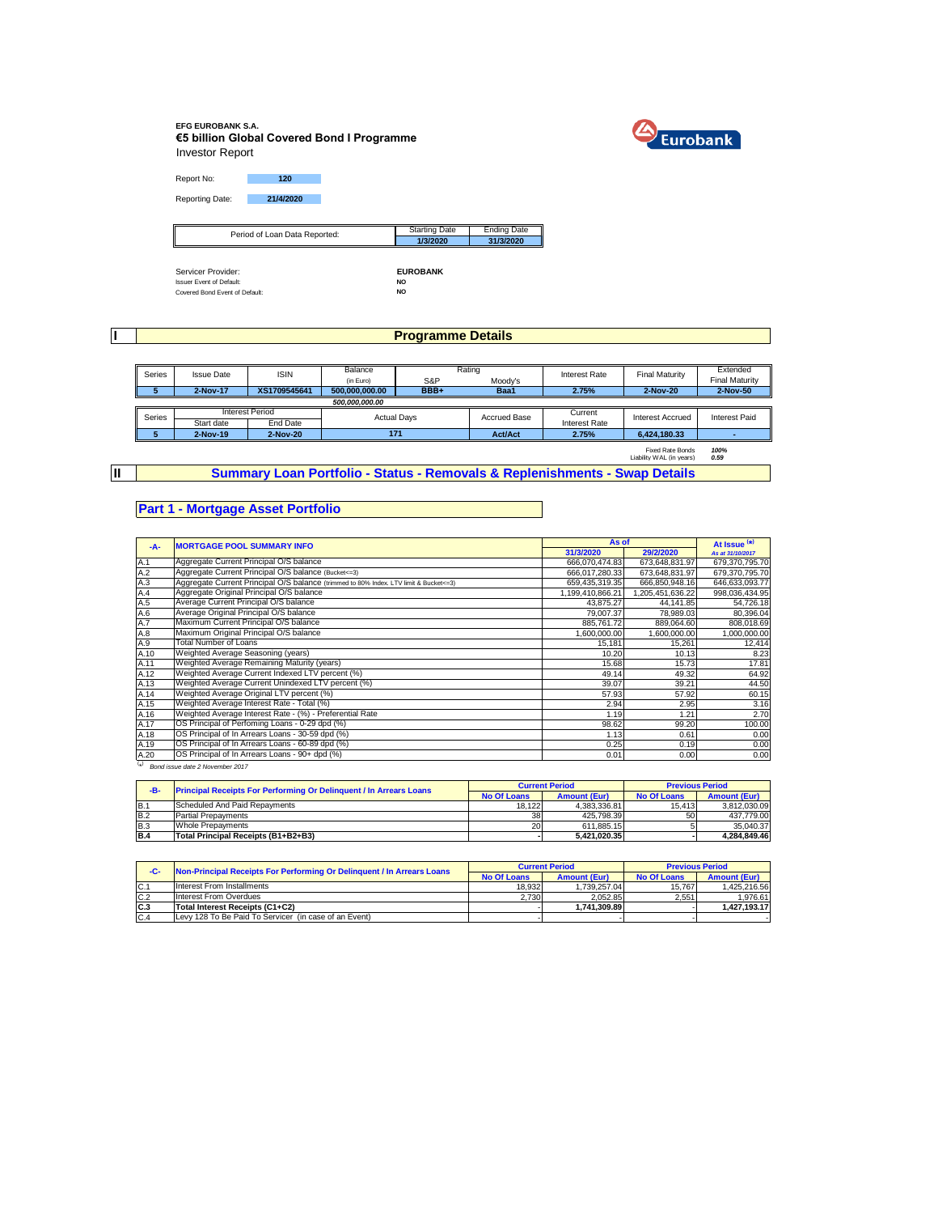### **EFG EUROBANK S.A. €5 billion Global Covered Bond I Programme** Investor Report



Report No: **120** Reporting Date: **21/4/2020**

| Period of Loan Data Reported:   | <b>Starting Date</b>     | <b>Ending Date</b> |
|---------------------------------|--------------------------|--------------------|
| I                               | 1/3/2020                 | 31/3/2020          |
|                                 |                          |                    |
|                                 |                          |                    |
| Servicer Provider:              | <b>EUROBANK</b>          |                    |
| To access Concert of Chatacolas | $\overline{\phantom{a}}$ |                    |

Issuer Event of Default: **NO** Covered Bond Event of Default: **NO**

**I**

**II**

## **Programme Details**

| Series | <b>Issue Date</b> | <b>ISIN</b>     | Balance            |      | Rating              | Interest Rate        | <b>Final Maturity</b> | Extended              |
|--------|-------------------|-----------------|--------------------|------|---------------------|----------------------|-----------------------|-----------------------|
|        |                   |                 | (in Euro)          | S&P  | Moody's             |                      |                       | <b>Final Maturity</b> |
|        | 2-Nov-17          | XS1709545641    | 500.000.000.00     | BBB+ | Baa1                | 2.75%                | 2-Nov-20              | 2-Nov-50              |
|        |                   |                 | 500.000.000.00     |      |                     |                      |                       |                       |
| Series |                   | Interest Period | <b>Actual Davs</b> |      | <b>Accrued Base</b> | Current              | Interest Accrued      | Interest Paid         |
|        | Start date        | End Date        |                    |      |                     | <b>Interest Rate</b> |                       |                       |
|        |                   | 2-Nov-20        | 171                |      | <b>Act/Act</b>      | 2.75%                | 6.424.180.33          |                       |
|        | 2-Nov-19          |                 |                    |      |                     |                      |                       |                       |

**Summary Loan Portfolio - Status - Removals & Replenishments - Swap Details**

## **Part 1 - Mortgage Asset Portfolio**

| $-A-$     | <b>MORTGAGE POOL SUMMARY INFO</b>                                                       | As of            |                  | At Issue <sup>(*)</sup> |
|-----------|-----------------------------------------------------------------------------------------|------------------|------------------|-------------------------|
|           |                                                                                         | 31/3/2020        | 29/2/2020        | As at 31/10/2017        |
| A.1       | Aggregate Current Principal O/S balance                                                 | 666,070,474.83   | 673,648,831.97   | 679,370,795.70          |
| A.2       | Aggregate Current Principal O/S balance (Bucket<=3)                                     | 666,017,280.33   | 673,648,831.97   | 679.370.795.70          |
| A.3       | Aggregate Current Principal O/S balance (trimmed to 80% Index. LTV limit & Bucket <= 3) | 659,435,319.35   | 666,850,948.16   | 646,633,093.77          |
| A.4       | Aggregate Original Principal O/S balance                                                | 1,199,410,866.21 | 1,205,451,636.22 | 998,036,434.95          |
| A.5       | Average Current Principal O/S balance                                                   | 43,875.27        | 44,141.85        | 54,726.18               |
| A.6       | Average Original Principal O/S balance                                                  | 79,007.37        | 78,989.03        | 80.396.04               |
| A.7       | Maximum Current Principal O/S balance                                                   | 885.761.72       | 889.064.60       | 808.018.69              |
| A.8       | Maximum Original Principal O/S balance                                                  | 1,600,000.00     | 1,600,000.00     | 1,000,000.00            |
| A.9       | <b>Total Number of Loans</b>                                                            | 15.181           | 15.261           | 12,414                  |
| A.10      | Weighted Average Seasoning (years)                                                      | 10.20            | 10.13            | 8.23                    |
| A.11      | Weighted Average Remaining Maturity (years)                                             | 15.68            | 15.73            | 17.81                   |
| A.12      | Weighted Average Current Indexed LTV percent (%)                                        | 49.14            | 49.32            | 64.92                   |
| A.13      | Weighted Average Current Unindexed LTV percent (%)                                      | 39.07            | 39.21            | 44.50                   |
| A.14      | Weighted Average Original LTV percent (%)                                               | 57.93            | 57.92            | 60.15                   |
| A.15      | Weighted Average Interest Rate - Total (%)                                              | 2.94             | 2.95             | 3.16                    |
| A.16      | Weighted Average Interest Rate - (%) - Preferential Rate                                | 1.19             | 1.21             | 2.70                    |
| A.17      | OS Principal of Perfoming Loans - 0-29 dpd (%)                                          | 98.62            | 99.20            | 100.00                  |
| A.18      | OS Principal of In Arrears Loans - 30-59 dpd (%)                                        | 1.13             | 0.61             | 0.00                    |
| A.19      | OS Principal of In Arrears Loans - 60-89 dpd (%)                                        | 0.25             | 0.19             | 0.00                    |
| A.20      | OS Principal of In Arrears Loans - 90+ dpd (%)                                          | 0.01             | 0.00             | 0.00                    |
| $(\star)$ | Bond issue date 2 November 2017                                                         |                  |                  |                         |

| -B-        | <b>Principal Receipts For Performing Or Delinquent / In Arrears Loans</b> |                    | <b>Current Period</b> | <b>Previous Period</b> |                     |
|------------|---------------------------------------------------------------------------|--------------------|-----------------------|------------------------|---------------------|
|            |                                                                           | <b>No Of Loans</b> | <b>Amount (Eur)</b>   | <b>No Of Loans</b>     | <b>Amount (Eur)</b> |
| B.1        | Scheduled And Paid Repayments                                             | 18.122             | 4.383.336.81          | 15.413                 | 3.812.030.09        |
| <b>B.2</b> | <b>Partial Prepayments</b>                                                | 38                 | 425.798.39            | 50                     | 437.779.00          |
| <b>B.3</b> | <b>Whole Prepayments</b>                                                  | 20 I               | 611.885.15            |                        | 35.040.37           |
| <b>B.4</b> | Total Principal Receipts (B1+B2+B3)                                       |                    | 5.421.020.35          |                        | 4.284.849.46        |

| -C-            | Non-Principal Receipts For Performing Or Delinquent / In Arrears Loans |                    | <b>Current Period</b> |                    | <b>Previous Period</b> |
|----------------|------------------------------------------------------------------------|--------------------|-----------------------|--------------------|------------------------|
|                |                                                                        | <b>No Of Loans</b> | <b>Amount (Eur)</b>   | <b>No Of Loans</b> | <b>Amount (Eur)</b>    |
| C.1            | Interest From Installments                                             | 18.932             | 1.739.257.04          | 15.767             | 1.425.216.56           |
| C.2            | Interest From Overdues                                                 | 2.730              | 2.052.85              | 2.551              | 1.976.61               |
| C <sub>3</sub> | Total Interest Receipts (C1+C2)                                        |                    | 1.741.309.89          |                    | 1.427.193.17           |
| C.4            | Levy 128 To Be Paid To Servicer (in case of an Event)                  |                    |                       |                    |                        |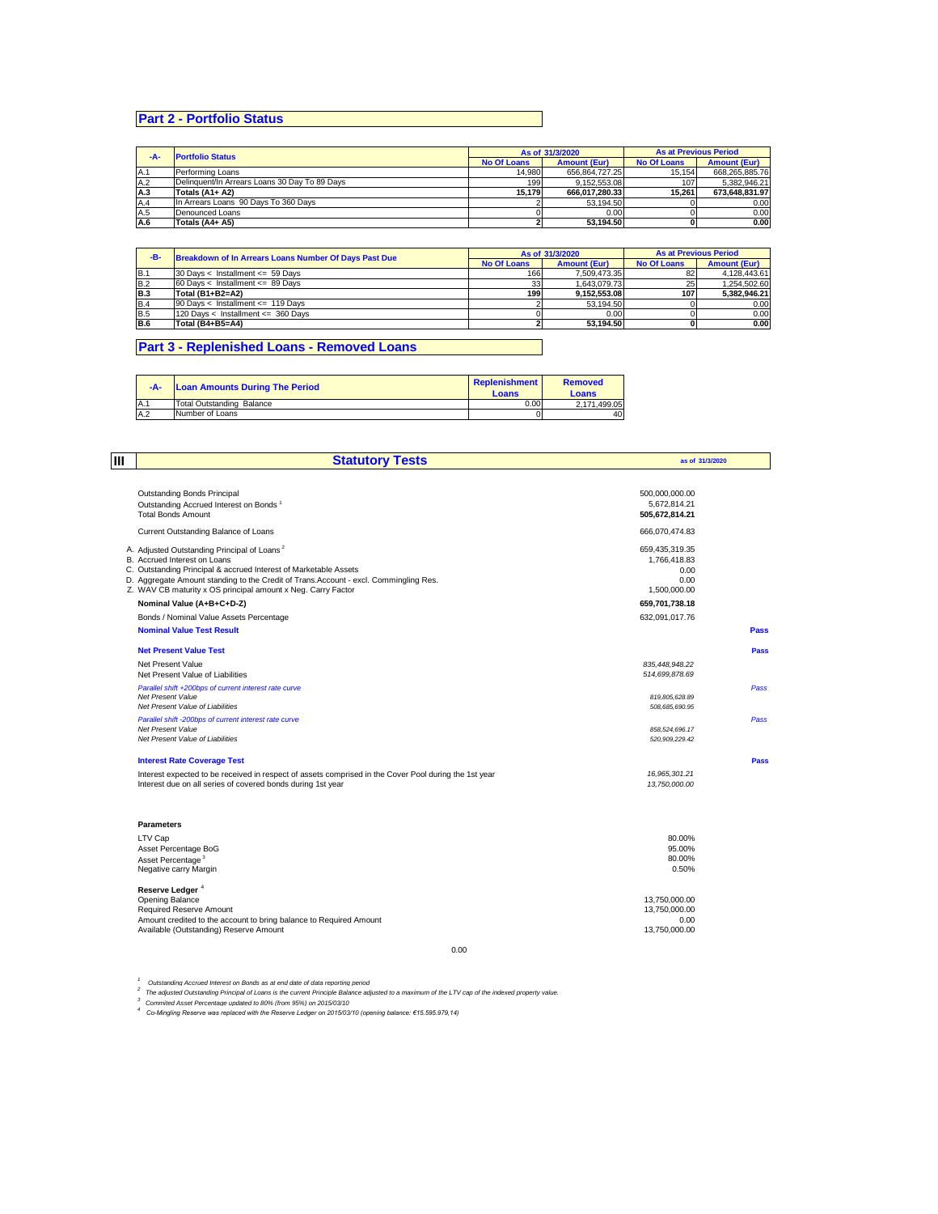# **Part 2 - Portfolio Status**

| -A- | <b>Portfolio Status</b>                       |                    | As of 31/3/2020     | <b>As at Previous Period</b> |                     |
|-----|-----------------------------------------------|--------------------|---------------------|------------------------------|---------------------|
|     |                                               | <b>No Of Loans</b> | <b>Amount (Eur)</b> | <b>No Of Loans</b>           | <b>Amount (Eur)</b> |
| A.1 | Performing Loans                              | 14.980             | 656.864.727.25      | 15.154                       | 668.265.885.76      |
| A.2 | Delinguent/In Arrears Loans 30 Day To 89 Days | 199                | 9.152.553.08        | 107                          | 5.382.946.21        |
| A.3 | Totals (A1+ A2)                               | 15.179             | 666.017.280.33      | 15.261                       | 673.648.831.97      |
| A.4 | In Arrears Loans 90 Days To 360 Days          |                    | 53.194.50           |                              | 0.00                |
| A.5 | Denounced Loans                               |                    | 0.00                |                              | 0.00                |
| A.6 | Totals (A4+ A5)                               |                    | 53.194.50           |                              | 0.00                |

| -B-        | Breakdown of In Arrears Loans Number Of Days Past Due |                    | As of 31/3/2020     | <b>As at Previous Period</b> |                     |
|------------|-------------------------------------------------------|--------------------|---------------------|------------------------------|---------------------|
|            |                                                       | <b>No Of Loans</b> | <b>Amount (Eur)</b> | <b>No Of Loans</b>           | <b>Amount (Eur)</b> |
| B.1        | 30 Days < Installment <= $59$ Days                    | 166                | 7.509.473.35        | 82                           | 4.128.443.61        |
| <b>B.2</b> | 60 Days < Installment <= 89 Days                      | 33                 | 1.643.079.73        | 25                           | 1.254.502.60        |
| <b>B.3</b> | Total (B1+B2=A2)                                      | 199                | 9.152.553.08        | 107                          | 5.382.946.21        |
| <b>B.4</b> | 90 Days < Installment <= 119 Days                     |                    | 53.194.50           |                              | 0.00                |
| <b>B.5</b> | 120 Days < Installment <= 360 Days                    |                    | 0.00                |                              | 0.00                |
| <b>B.6</b> | Total (B4+B5=A4)                                      |                    | 53.194.50           |                              | 0.00                |

## **Part 3 - Replenished Loans - Removed Loans**

| $-A-$ | <b>Loan Amounts During The Period</b> | Replenishment<br>Loans | <b>Removed</b><br>Loans |
|-------|---------------------------------------|------------------------|-------------------------|
| A.1   | Total Outstanding Balance             | 0.00                   | 2.171.499.05            |
| A.2   | Number of Loans                       |                        | 40                      |

| lш | <b>Statutory Tests</b>                                                                                                                                                                                                                                                                                               | as of 31/3/2020                                                |      |
|----|----------------------------------------------------------------------------------------------------------------------------------------------------------------------------------------------------------------------------------------------------------------------------------------------------------------------|----------------------------------------------------------------|------|
|    | <b>Outstanding Bonds Principal</b><br>Outstanding Accrued Interest on Bonds <sup>1</sup><br><b>Total Bonds Amount</b>                                                                                                                                                                                                | 500,000,000.00<br>5.672.814.21<br>505,672,814.21               |      |
|    | Current Outstanding Balance of Loans                                                                                                                                                                                                                                                                                 | 666,070,474.83                                                 |      |
|    | A. Adjusted Outstanding Principal of Loans <sup>2</sup><br>B. Accrued Interest on Loans<br>C. Outstanding Principal & accrued Interest of Marketable Assets<br>D. Aggregate Amount standing to the Credit of Trans. Account - excl. Commingling Res.<br>Z. WAV CB maturity x OS principal amount x Neg. Carry Factor | 659,435,319.35<br>1.766.418.83<br>0.00<br>0.00<br>1,500,000.00 |      |
|    | Nominal Value (A+B+C+D-Z)                                                                                                                                                                                                                                                                                            | 659,701,738.18                                                 |      |
|    | Bonds / Nominal Value Assets Percentage                                                                                                                                                                                                                                                                              | 632,091,017.76                                                 |      |
|    | <b>Nominal Value Test Result</b>                                                                                                                                                                                                                                                                                     |                                                                | Pass |
|    | <b>Net Present Value Test</b>                                                                                                                                                                                                                                                                                        |                                                                | Pass |
|    | Net Present Value<br>Net Present Value of Liabilities                                                                                                                                                                                                                                                                | 835.448.948.22<br>514,699,878.69                               |      |
|    | Parallel shift +200bps of current interest rate curve<br>Net Present Value<br>Net Present Value of Liabilities                                                                                                                                                                                                       | 819,805,628.89<br>508,685,690.95                               | Pass |
|    | Parallel shift -200bps of current interest rate curve<br><b>Net Present Value</b><br>Net Present Value of Liabilities                                                                                                                                                                                                | 858,524,696.17<br>520.909.229.42                               | Pass |
|    | <b>Interest Rate Coverage Test</b>                                                                                                                                                                                                                                                                                   |                                                                | Pass |
|    | Interest expected to be received in respect of assets comprised in the Cover Pool during the 1st year<br>Interest due on all series of covered bonds during 1st year                                                                                                                                                 | 16.965.301.21<br>13.750.000.00                                 |      |
|    | <b>Parameters</b>                                                                                                                                                                                                                                                                                                    |                                                                |      |
|    | LTV Cap                                                                                                                                                                                                                                                                                                              | 80.00%                                                         |      |
|    | Asset Percentage BoG<br>Asset Percentage <sup>3</sup>                                                                                                                                                                                                                                                                | 95.00%<br>80.00%                                               |      |
|    | Negative carry Margin                                                                                                                                                                                                                                                                                                | 0.50%                                                          |      |
|    | Reserve Ledger <sup>4</sup><br>Opening Balance<br>Required Reserve Amount<br>Amount credited to the account to bring balance to Required Amount                                                                                                                                                                      | 13,750,000.00<br>13,750,000.00<br>0.00                         |      |
|    | Available (Outstanding) Reserve Amount                                                                                                                                                                                                                                                                               | 13.750.000.00                                                  |      |

0.00

<sup>1</sup> Outstanding Accrued Interest on Bonds as at end date of data reporting period<br><sup>2</sup> The adjusted Outstanding Principal of Loans is the current Principle Balance adjusted to a maximum of the LTV cap of the indexed propert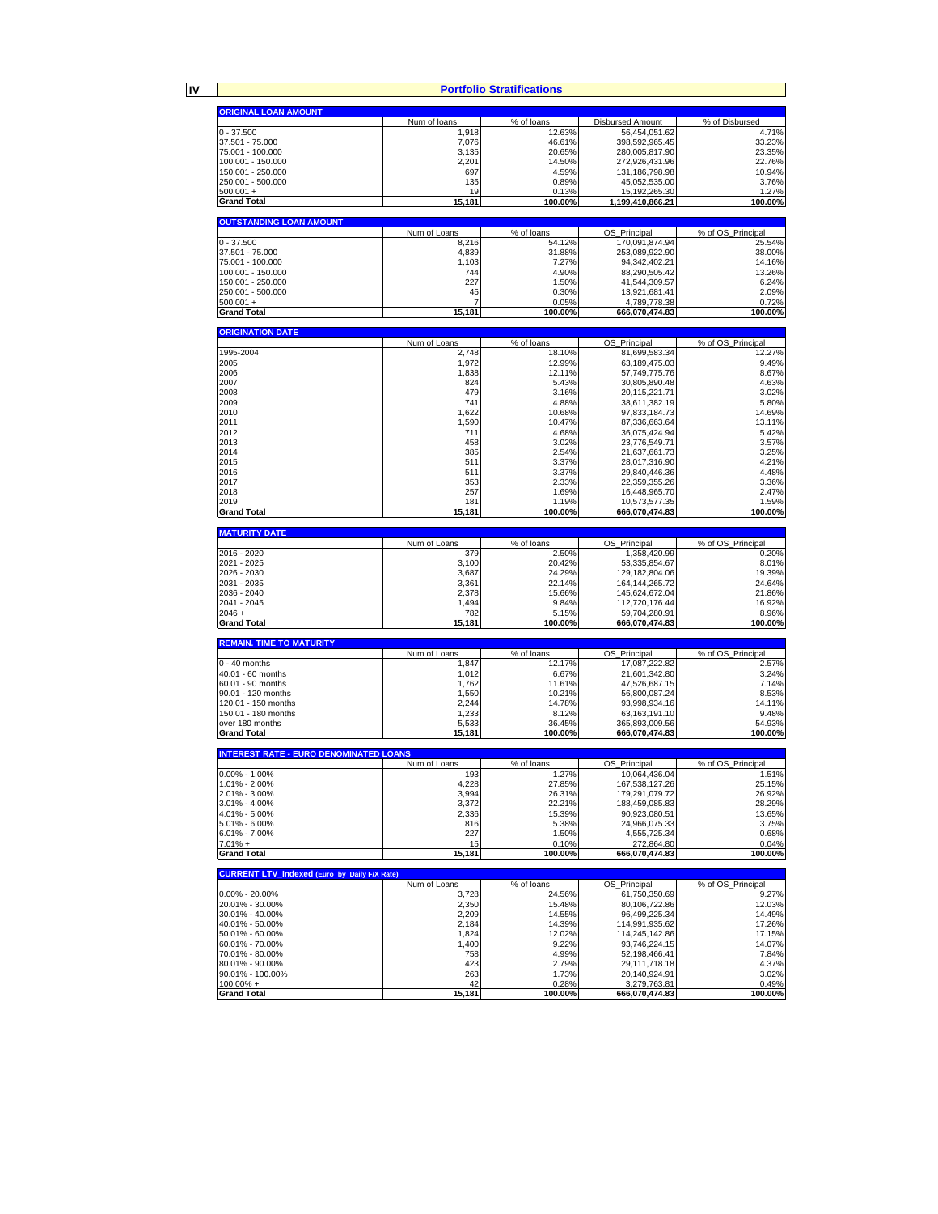**IV**

**Portfolio Stratifications**

|                                                     |                     | Portfolio Stratifications |                                      |                   |
|-----------------------------------------------------|---------------------|---------------------------|--------------------------------------|-------------------|
| <b>ORIGINAL LOAN AMOUNT</b>                         |                     |                           |                                      |                   |
|                                                     | Num of loans        | % of loans                | Disbursed Amount                     | % of Disbursed    |
| $0 - 37.500$                                        | 1,918               | 12.63%                    | 56,454,051.62                        | 4.71%             |
| 37.501 - 75.000                                     | 7,076               | 46.61%                    | 398,592,965.45                       | 33.23%            |
| 75.001 - 100.000                                    | 3,135               | 20.65%                    | 280,005,817.90                       | 23.35%            |
| 100.001 - 150.000                                   | 2,201               | 14.50%                    | 272,926,431.96                       | 22.76%            |
| 150.001 - 250.000                                   | 697                 | 4.59%                     | 131,186,798.98                       | 10.94%            |
| 250.001 - 500.000<br>$500.001 +$                    | 135                 | 0.89%<br>0.13%            | 45,052,535.00                        | 3.76%<br>1.27%    |
| <b>Grand Total</b>                                  | 19<br>15,181        | 100.00%                   | 15, 192, 265. 30<br>1,199,410,866.21 | 100.00%           |
|                                                     |                     |                           |                                      |                   |
| <b>OUTSTANDING LOAN AMOUNT</b>                      |                     |                           |                                      |                   |
|                                                     | Num of Loans        | % of loans                | OS_Principal                         | % of OS_Principal |
| $0 - 37.500$                                        | 8.216               | 54.12%                    | 170,091,874.94                       | 25.54%            |
| 37.501 - 75.000                                     | 4,839               | 31.88%                    | 253,089,922.90                       | 38.00%            |
| 75.001 - 100.000                                    | 1,103               | 7.27%<br>4.90%            | 94,342,402.21                        | 14.16%            |
| 100.001 - 150.000<br>150.001 - 250.000              | 744<br>227          | 1.50%                     | 88,290,505.42                        | 13.26%<br>6.24%   |
| 250.001 - 500.000                                   | 45                  | 0.30%                     | 41,544,309.57<br>13,921,681.41       | 2.09%             |
| $500.001 +$                                         | 7                   | 0.05%                     | 4,789,778.38                         | 0.72%             |
| <b>Grand Total</b>                                  | 15,181              | 100.00%                   | 666,070,474.83                       | 100.00%           |
|                                                     |                     |                           |                                      |                   |
| <b>ORIGINATION DATE</b>                             |                     |                           |                                      |                   |
|                                                     | Num of Loans        | % of loans                | OS_Principal                         | % of OS_Principal |
| 1995-2004                                           | 2,748               | 18.10%                    | 81,699,583.34                        | 12.27%            |
| 2005                                                | 1,972               | 12.99%                    | 63,189,475.03                        | 9.49%             |
| 2006                                                | 1,838               | 12.11%                    | 57,749,775.76                        | 8.67%             |
| 2007<br>2008                                        | 824<br>479          | 5.43%<br>3.16%            | 30,805,890.48                        | 4.63%<br>3.02%    |
| 2009                                                | 741                 | 4.88%                     | 20,115,221.71<br>38,611,382.19       | 5.80%             |
| 2010                                                | 1,622               | 10.68%                    | 97,833,184.73                        | 14.69%            |
| 2011                                                | 1,590               | 10.47%                    | 87,336,663.64                        | 13.11%            |
| 2012                                                | 711                 | 4.68%                     | 36,075,424.94                        | 5.42%             |
| 2013                                                | 458                 | 3.02%                     | 23,776,549.71                        | 3.57%             |
| 2014                                                | 385                 | 2.54%                     | 21,637,661.73                        | 3.25%             |
| 2015                                                | 511                 | 3.37%                     | 28,017,316.90                        | 4.21%             |
| 2016                                                | 511                 | 3.37%                     | 29,840,446.36                        | 4.48%             |
| 2017                                                | 353                 | 2.33%                     | 22,359,355.26                        | 3.36%             |
| 2018                                                | 257                 | 1.69%                     | 16,448,965.70                        | 2.47%             |
| 2019                                                | 181                 | 1.19%                     | 10,573,577.35                        | 1.59%             |
| <b>Grand Total</b>                                  | 15,181              | 100.00%                   | 666,070,474.83                       | 100.00%           |
| <b>MATURITY DATE</b>                                |                     |                           |                                      |                   |
|                                                     | Num of Loans        | % of loans                | OS Principal                         | % of OS Principal |
| 2016 - 2020                                         | 379                 | 2.50%                     | 1,358,420.99                         | 0.20%             |
| 2021 - 2025                                         | 3,100               | 20.42%                    | 53,335,854.67                        | 8.01%             |
| 2026 - 2030                                         | 3,687               | 24.29%                    | 129,182,804.06                       | 19.39%            |
| 2031 - 2035                                         | 3,361               | 22.14%                    | 164, 144, 265. 72                    | 24.64%            |
| 2036 - 2040<br>2041 - 2045                          | 2,378<br>1,494      | 15.66%<br>9.84%           | 145,624,672.04<br>112,720,176.44     | 21.86%<br>16.92%  |
| $2046 +$                                            | 782                 | 5.15%                     | 59,704,280.91                        | 8.96%             |
| <b>Grand Total</b>                                  | 15,181              | 100.00%                   | 666,070,474.83                       | 100.00%           |
|                                                     |                     |                           |                                      |                   |
| <b>REMAIN. TIME TO MATURITY</b>                     |                     |                           |                                      |                   |
|                                                     | Num of Loans        | % of loans                | OS Principal                         | % of OS Principal |
| $0 - 40$ months                                     | 1,847               | 12.17%                    | 17,087,222.82                        | 2.57%             |
| 40.01 - 60 months<br>60.01 - 90 months              | 1,012<br>1,762      | 6.67%<br>11.61%           | 21,601,342.80<br>47,526,687.15       | 3.24%<br>7.14%    |
| 90.01 - 120 months                                  | 1,550               | 10.21%                    | 56,800,087.24                        | 8.53%             |
| 120.01 - 150 months                                 | 2,244               | 14.78%                    | 93,998,934.16                        | 14.11%            |
| 150.01 - 180 months                                 | 1,233               | 8.12%                     | 63,163,191.10                        | 9.48%             |
| over 180 months                                     | 5,533               | 36.45%                    | 365,893,009.56                       | 54.93%            |
| <b>Grand Total</b>                                  | 15,181              | 100.00%                   | 666,070,474.83                       | 100.00%           |
|                                                     |                     |                           |                                      |                   |
| <b>INTEREST RATE - EURO DENOMINATED LOANS</b>       |                     |                           |                                      | % of OS Principal |
| 0.00% - 1.00%                                       | Num of Loans<br>193 | % of loans<br>1.27%       | OS Principal<br>10,064,436.04        | 1.51%             |
| 1.01% - 2.00%                                       | 4,228               | 27.85%                    | 167,538,127.26                       | 25.15%            |
| 2.01% - 3.00%                                       | 3,994               | 26.31%                    | 179,291,079.72                       | 26.92%            |
| 3.01% - 4.00%                                       | 3,372               | 22.21%                    | 188,459,085.83                       | 28.29%            |
| 4.01% - 5.00%                                       | 2,336               | 15.39%                    | 90,923,080.51                        | 13.65%            |
| 5.01% - 6.00%                                       | 816                 | 5.38%                     | 24,966,075.33                        | 3.75%             |
| 6.01% - 7.00%                                       | 227                 | 1.50%                     | 4,555,725.34                         | 0.68%             |
| $7.01% +$                                           | 15                  | 0.10%                     | 272,864.80                           | 0.04%             |
| <b>Grand Total</b>                                  | 15,181              | 100.00%                   | 666,070,474.83                       | 100.00%           |
| <b>CURRENT LTV Indexed (Euro by Daily F/X Rate)</b> |                     |                           |                                      |                   |
|                                                     | Num of Loans        | % of loans                | OS_Principal                         | % of OS_Principal |
| $0.00\% - 20.00\%$                                  | 3,728               | 24.56%                    | 61,750,350.69                        | 9.27%             |
| 20.01% - 30.00%                                     | 2.350               | 15.48%                    | 80,106,722.86                        | 12.03%            |
| 30.01% - 40.00%                                     | 2,209               | 14.55%                    | 96,499,225.34                        | 14.49%            |
| 40.01% - 50.00%                                     | 2,184               | 14.39%                    | 114,991,935.62                       | 17.26%            |
| 50.01% - 60.00%                                     | 1,824               | 12.02%                    | 114,245,142.86                       | 17.15%            |
| 60.01% - 70.00%                                     | 1,400               | 9.22%                     | 93,746,224.15                        | 14.07%            |
| 70.01% - 80.00%<br>80.01% - 90.00%                  | 758<br>423          | 4.99%<br>2.79%            | 52,198,466.41<br>29,111,718.18       | 7.84%<br>4.37%    |
| 90.01% - 100.00%                                    | 263                 | 1.73%                     | 20,140,924.91                        | 3.02%             |
| 100.00% +                                           | 42                  | 0.28%                     | 3,279,763.81                         | 0.49%             |
| <b>Grand Total</b>                                  | 15,181              | 100.00%                   | 666,070,474.83                       | 100.00%           |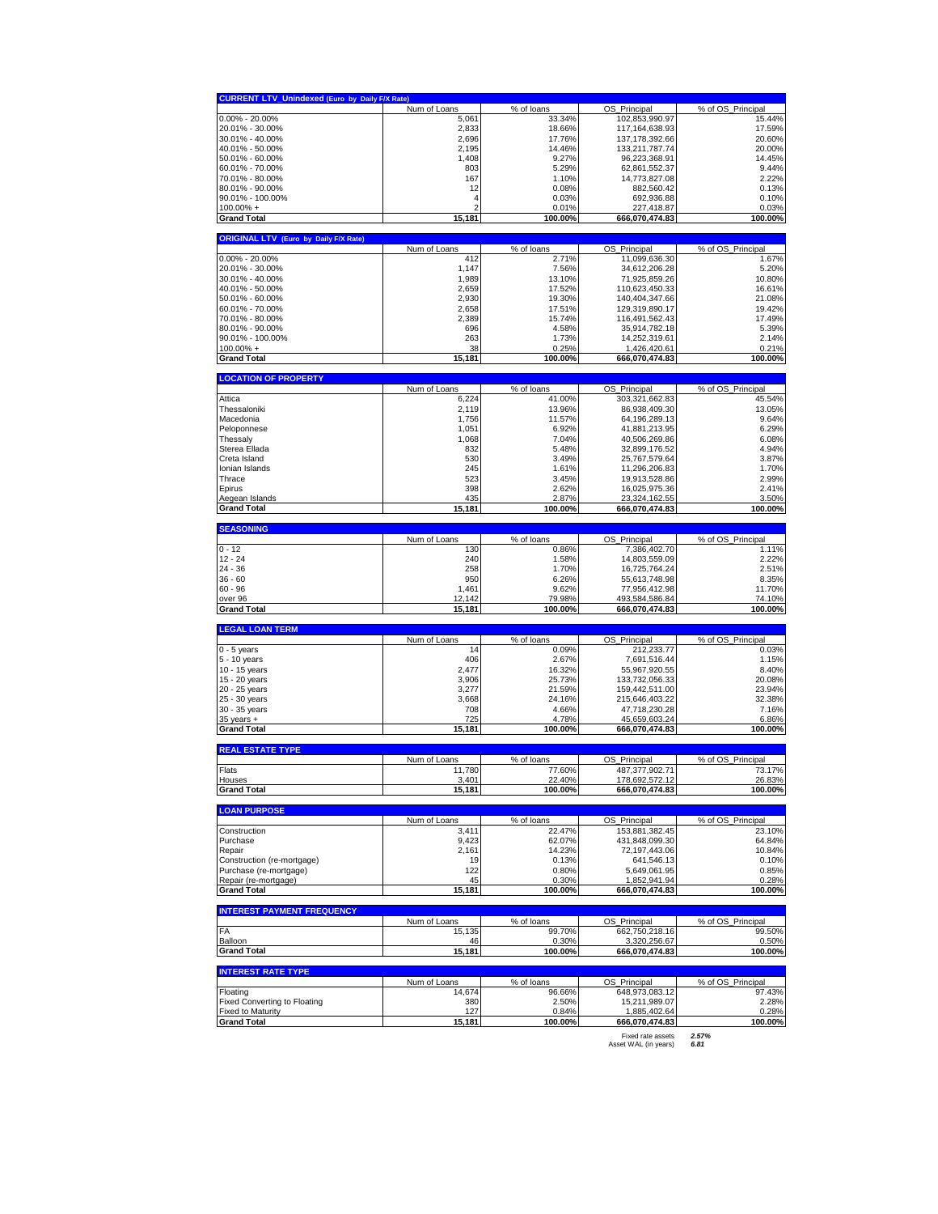| <b>CURRENT LTV_Unindexed (Euro by Daily F/X Rate)</b>                                                                                                                                                                                                                                                                                                                                                                                                                                                               |                        |                      |                                     |                             |
|---------------------------------------------------------------------------------------------------------------------------------------------------------------------------------------------------------------------------------------------------------------------------------------------------------------------------------------------------------------------------------------------------------------------------------------------------------------------------------------------------------------------|------------------------|----------------------|-------------------------------------|-----------------------------|
|                                                                                                                                                                                                                                                                                                                                                                                                                                                                                                                     | Num of Loans           | % of loans           | OS Principal                        | % of OS Principal           |
| $0.00\% - 20.00\%$                                                                                                                                                                                                                                                                                                                                                                                                                                                                                                  | 5,061                  | 33.34%               | 102,853,990.97                      | 15.44%                      |
| 20.01% - 30.00%                                                                                                                                                                                                                                                                                                                                                                                                                                                                                                     | 2,833                  | 18.66%               | 117,164,638.93                      | 17.59%                      |
| 30.01% - 40.00%<br>40.01% - 50.00%                                                                                                                                                                                                                                                                                                                                                                                                                                                                                  | 2,696                  | 17.76%               | 137, 178, 392.66                    | 20.60%                      |
| 50.01% - 60.00%                                                                                                                                                                                                                                                                                                                                                                                                                                                                                                     | 2,195<br>1,408         | 14.46%<br>9.27%      | 133,211,787.74<br>96,223,368.91     | 20.00%<br>14.45%            |
| 60.01% - 70.00%                                                                                                                                                                                                                                                                                                                                                                                                                                                                                                     | 803                    | 5.29%                | 62,861,552.37                       | 9.44%                       |
| 70.01% - 80.00%                                                                                                                                                                                                                                                                                                                                                                                                                                                                                                     | 167                    | 1.10%                | 14,773,827.08                       | 2.22%                       |
| 80.01% - 90.00%                                                                                                                                                                                                                                                                                                                                                                                                                                                                                                     | 12                     | 0.08%                | 882,560.42                          | 0.13%                       |
| 90.01% - 100.00%                                                                                                                                                                                                                                                                                                                                                                                                                                                                                                    | 4                      | 0.03%                | 692,936.88                          | 0.10%                       |
| $100.00\% +$                                                                                                                                                                                                                                                                                                                                                                                                                                                                                                        |                        | 0.01%                | 227,418.87                          | 0.03%                       |
| <b>Grand Total</b>                                                                                                                                                                                                                                                                                                                                                                                                                                                                                                  | 15,181                 | 100.00%              | 666,070,474.83                      | 100.00%                     |
| <b>ORIGINAL LTV (Euro by Daily F/X Rate)</b>                                                                                                                                                                                                                                                                                                                                                                                                                                                                        |                        |                      |                                     |                             |
|                                                                                                                                                                                                                                                                                                                                                                                                                                                                                                                     | Num of Loans           | % of loans           | OS_Principal                        | % of OS Principal           |
| $0.00\% - 20.00\%$                                                                                                                                                                                                                                                                                                                                                                                                                                                                                                  | 412                    | 2.71%                | 11,099,636.30                       | 1.67%                       |
| 20.01% - 30.00%                                                                                                                                                                                                                                                                                                                                                                                                                                                                                                     | 1,147                  | 7.56%                | 34,612,206.28                       | 5.20%                       |
| 30.01% - 40.00%                                                                                                                                                                                                                                                                                                                                                                                                                                                                                                     | 1,989                  | 13.10%               | 71,925,859.26                       | 10.80%                      |
| 40.01% - 50.00%                                                                                                                                                                                                                                                                                                                                                                                                                                                                                                     | 2,659                  | 17.52%               | 110,623,450.33                      | 16.61%                      |
| 50.01% - 60.00%<br>60.01% - 70.00%                                                                                                                                                                                                                                                                                                                                                                                                                                                                                  | 2,930<br>2,658         | 19.30%<br>17.51%     | 140,404,347.66<br>129,319,890.17    | 21.08%<br>19.42%            |
| 70.01% - 80.00%                                                                                                                                                                                                                                                                                                                                                                                                                                                                                                     | 2,389                  | 15.74%               | 116,491,562.43                      | 17.49%                      |
| 80.01% - 90.00%                                                                                                                                                                                                                                                                                                                                                                                                                                                                                                     | 696                    | 4.58%                | 35,914,782.18                       | 5.39%                       |
| 90.01% - 100.00%                                                                                                                                                                                                                                                                                                                                                                                                                                                                                                    | 263                    | 1.73%                | 14,252,319.61                       | 2.14%                       |
| $100.00\% +$                                                                                                                                                                                                                                                                                                                                                                                                                                                                                                        | 38                     | 0.25%                | 1,426,420.61                        | 0.21%                       |
| <b>Grand Total</b>                                                                                                                                                                                                                                                                                                                                                                                                                                                                                                  | 15,181                 | 100.00%              | 666,070,474.83                      | 100.00%                     |
| <b>LOCATION OF PROPERTY</b>                                                                                                                                                                                                                                                                                                                                                                                                                                                                                         |                        |                      |                                     |                             |
|                                                                                                                                                                                                                                                                                                                                                                                                                                                                                                                     | Num of Loans           | % of loans           | OS_Principal                        | % of OS_Principal           |
| Attica                                                                                                                                                                                                                                                                                                                                                                                                                                                                                                              | 6,224                  | 41.00%               | 303,321,662.83                      | 45.54%                      |
| Thessaloniki                                                                                                                                                                                                                                                                                                                                                                                                                                                                                                        | 2,119                  | 13.96%               | 86,938,409.30                       | 13.05%                      |
| Macedonia                                                                                                                                                                                                                                                                                                                                                                                                                                                                                                           | 1,756                  | 11.57%               | 64,196,289.13                       | 9.64%                       |
| Peloponnese                                                                                                                                                                                                                                                                                                                                                                                                                                                                                                         | 1,051                  | 6.92%                | 41,881,213.95                       | 6.29%                       |
| Thessaly                                                                                                                                                                                                                                                                                                                                                                                                                                                                                                            | 1,068<br>832           | 7.04%                | 40,506,269.86                       | 6.08%<br>4.94%              |
| Sterea Ellada<br>Creta Island                                                                                                                                                                                                                                                                                                                                                                                                                                                                                       | 530                    | 5.48%<br>3.49%       | 32,899,176.52<br>25,767,579.64      | 3.87%                       |
| Ionian Islands                                                                                                                                                                                                                                                                                                                                                                                                                                                                                                      | 245                    | 1.61%                | 11,296,206.83                       | 1.70%                       |
| Thrace                                                                                                                                                                                                                                                                                                                                                                                                                                                                                                              | 523                    | 3.45%                | 19,913,528.86                       | 2.99%                       |
| Epirus                                                                                                                                                                                                                                                                                                                                                                                                                                                                                                              | 398                    | 2.62%                | 16,025,975.36                       | 2.41%                       |
| Aegean Islands                                                                                                                                                                                                                                                                                                                                                                                                                                                                                                      | 435                    | 2.87%                | 23,324,162.55                       | 3.50%                       |
| <b>Grand Total</b>                                                                                                                                                                                                                                                                                                                                                                                                                                                                                                  | 15,181                 | 100.00%              | 666,070,474.83                      | 100.00%                     |
| <b>SEASONING</b>                                                                                                                                                                                                                                                                                                                                                                                                                                                                                                    |                        |                      |                                     |                             |
|                                                                                                                                                                                                                                                                                                                                                                                                                                                                                                                     | Num of Loans           | % of loans           | OS Principal                        | % of OS_Principal           |
| 0 - 12                                                                                                                                                                                                                                                                                                                                                                                                                                                                                                              | 130                    | 0.86%                | 7,386,402.70                        | 1.11%                       |
| 12 - 24                                                                                                                                                                                                                                                                                                                                                                                                                                                                                                             | 240                    | 1.58%                | 14,803,559.09                       | 2.22%                       |
| 24 - 36                                                                                                                                                                                                                                                                                                                                                                                                                                                                                                             | 258                    | 1.70%                | 16,725,764.24                       | 2.51%                       |
| 36 - 60                                                                                                                                                                                                                                                                                                                                                                                                                                                                                                             | 950                    | 6.26%                | 55,613,748.98                       | 8.35%                       |
| 60 - 96<br>over 96                                                                                                                                                                                                                                                                                                                                                                                                                                                                                                  | 1,461<br>12,142        | 9.62%<br>79.98%      | 77,956,412.98<br>493,584,586.84     | 11.70%<br>74.10%            |
| <b>Grand Total</b>                                                                                                                                                                                                                                                                                                                                                                                                                                                                                                  |                        | 100.00%              | 666,070,474.83                      | 100.00%                     |
|                                                                                                                                                                                                                                                                                                                                                                                                                                                                                                                     | 15,181                 |                      |                                     |                             |
|                                                                                                                                                                                                                                                                                                                                                                                                                                                                                                                     |                        |                      |                                     |                             |
|                                                                                                                                                                                                                                                                                                                                                                                                                                                                                                                     |                        |                      |                                     |                             |
|                                                                                                                                                                                                                                                                                                                                                                                                                                                                                                                     | Num of Loans           | % of loans           | OS_Principal                        | % of OS_Principal           |
|                                                                                                                                                                                                                                                                                                                                                                                                                                                                                                                     | 14                     | 0.09%                | 212,233.77                          | 0.03%                       |
|                                                                                                                                                                                                                                                                                                                                                                                                                                                                                                                     | 406<br>2,477           | 2.67%<br>16.32%      | 7,691,516.44<br>55,967,920.55       | 1.15%<br>8.40%              |
|                                                                                                                                                                                                                                                                                                                                                                                                                                                                                                                     | 3,906                  | 25.73%               | 133,732,056.33                      | 20.08%                      |
|                                                                                                                                                                                                                                                                                                                                                                                                                                                                                                                     | 3,277                  | 21.59%               | 159,442,511.00                      | 23.94%                      |
|                                                                                                                                                                                                                                                                                                                                                                                                                                                                                                                     | 3,668                  | 24.16%               | 215,646,403.22                      | 32.38%                      |
|                                                                                                                                                                                                                                                                                                                                                                                                                                                                                                                     | 708                    | 4.66%                | 47,718,230.28                       | 7.16%                       |
|                                                                                                                                                                                                                                                                                                                                                                                                                                                                                                                     | 725                    | 4.78%                | 45,659,603.24                       | 6.86%                       |
|                                                                                                                                                                                                                                                                                                                                                                                                                                                                                                                     | 15,181                 | 100.00%              | 666,070,474.83                      | 100.00%                     |
|                                                                                                                                                                                                                                                                                                                                                                                                                                                                                                                     |                        |                      |                                     |                             |
|                                                                                                                                                                                                                                                                                                                                                                                                                                                                                                                     | Num of Loans           | % of loans           | OS Principal                        | % of OS Principal           |
|                                                                                                                                                                                                                                                                                                                                                                                                                                                                                                                     | 11,780                 | 77.60%               | 487,377,902.71                      | 73.17%                      |
| Hous                                                                                                                                                                                                                                                                                                                                                                                                                                                                                                                | 401<br>15,181          | 22.40%<br>100.00%    | 178 692 572 12<br>666,070,474.83    | 26.83%<br>100.00%           |
|                                                                                                                                                                                                                                                                                                                                                                                                                                                                                                                     |                        |                      |                                     |                             |
|                                                                                                                                                                                                                                                                                                                                                                                                                                                                                                                     |                        |                      |                                     |                             |
|                                                                                                                                                                                                                                                                                                                                                                                                                                                                                                                     | Num of Loans<br>3,411  | % of loans<br>22.47% | OS_Principal<br>153,881,382.45      | % of OS_Principal<br>23.10% |
|                                                                                                                                                                                                                                                                                                                                                                                                                                                                                                                     | 9,423                  | 62.07%               | 431,848,099.30                      | 64.84%                      |
|                                                                                                                                                                                                                                                                                                                                                                                                                                                                                                                     | 2,161                  | 14.23%               | 72,197,443.06                       | 10.84%                      |
|                                                                                                                                                                                                                                                                                                                                                                                                                                                                                                                     | 19                     | 0.13%                | 641,546.13                          | 0.10%                       |
|                                                                                                                                                                                                                                                                                                                                                                                                                                                                                                                     | 122                    | 0.80%                | 5,649,061.95                        | 0.85%                       |
|                                                                                                                                                                                                                                                                                                                                                                                                                                                                                                                     | 45                     | 0.30%                | 1,852,941.94                        | 0.28%                       |
|                                                                                                                                                                                                                                                                                                                                                                                                                                                                                                                     | 15,181                 | 100.00%              | 666,070,474.83                      | 100.00%                     |
|                                                                                                                                                                                                                                                                                                                                                                                                                                                                                                                     |                        |                      |                                     |                             |
|                                                                                                                                                                                                                                                                                                                                                                                                                                                                                                                     | Num of Loans           | % of loans           | OS_Principal                        | % of OS Principal           |
|                                                                                                                                                                                                                                                                                                                                                                                                                                                                                                                     | 15,135                 | 99.70%               | 662,750,218.16                      | 99.50%                      |
|                                                                                                                                                                                                                                                                                                                                                                                                                                                                                                                     | 46<br>15,181           | 0.30%<br>100.00%     | 3.320.256.67<br>666,070,474.83      | 0.50%<br>100.00%            |
|                                                                                                                                                                                                                                                                                                                                                                                                                                                                                                                     |                        |                      |                                     |                             |
| <b>LEGAL LOAN TERM</b><br>$0 - 5$ years<br>5 - 10 years<br>10 - 15 years<br>15 - 20 years<br>20 - 25 years<br>25 - 30 years<br>30 - 35 years<br>$35$ years $+$<br><b>Grand Total</b><br><b>REAL ESTATE TYPE</b><br>Flats<br><b>Grand Total</b><br><b>LOAN PURPOSE</b><br>Construction<br>Purchase<br>Repair<br>Construction (re-mortgage)<br>Purchase (re-mortgage)<br>Repair (re-mortgage)<br>Grand Total<br><b>INTEREST PAYMENT FREQUENCY</b><br>FA<br>Balloon<br><b>Grand Total</b><br><b>INTEREST RATE TYPE</b> |                        |                      |                                     |                             |
| Floating                                                                                                                                                                                                                                                                                                                                                                                                                                                                                                            | Num of Loans<br>14,674 | % of loans<br>96.66% | OS.<br>Principal<br>648,973,083.12  | % of OS Principal<br>97.43% |
| <b>Fixed Converting to Floating</b>                                                                                                                                                                                                                                                                                                                                                                                                                                                                                 | 380                    | 2.50%                | 15,211,989.07                       | 2.28%                       |
| <b>Fixed to Maturity</b>                                                                                                                                                                                                                                                                                                                                                                                                                                                                                            | 127                    | 0.84%                | 1,885,402.64                        | 0.28%                       |
| <b>Grand Total</b>                                                                                                                                                                                                                                                                                                                                                                                                                                                                                                  | 15,181                 | 100.00%              | 666,070,474.83<br>Fixed rate assets | 100.00%<br>2.57%            |

Fixed rate assets *2.57%* Asset WAL (in years) *6.81*